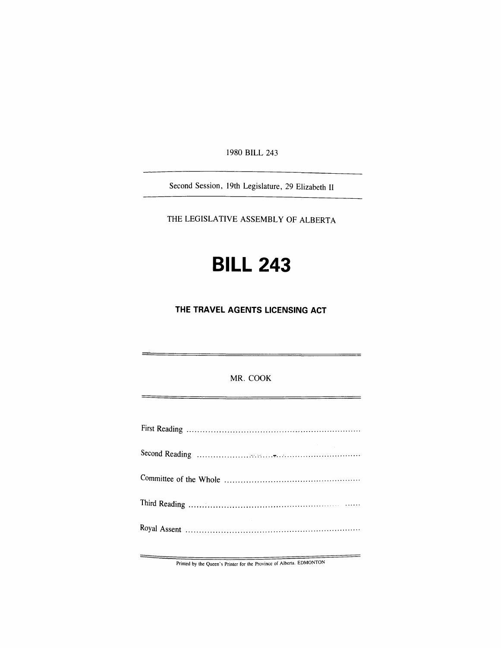1980 **BILL** 243

Second Session, 19th Legislature, 29 Elizabeth II

THE LEGISLATIVE ASSEMBLY OF ALBERTA

## **BILL 243**

**THE TRAVEL AGENTS LICENSING ACT** 

MR. COOK

Printed by the Queen's Printer for the Province of Alberta. EDMONTON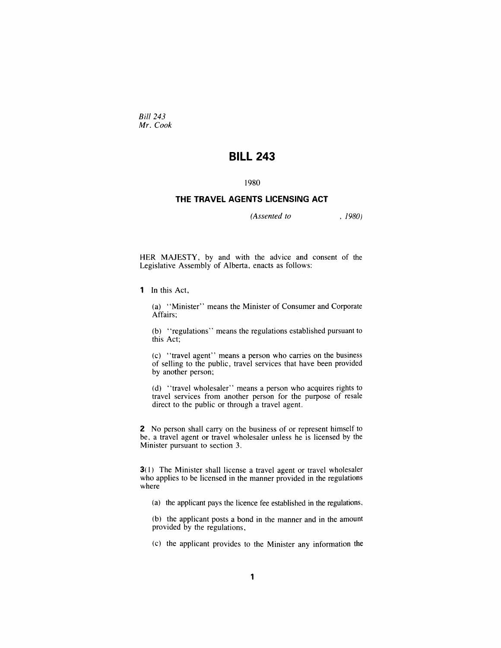*Bill 243 Mr. Cook* 

## **BILL 243**

## 1980

## **THE TRAVEL AGENTS LICENSING ACT**

*(Assented to* . 1980)

HER MAJESTY, by and with the advice and consent of the Legislative Assembly of Alberta, enacts as follows:

1 In this Act,

(a) "Minister" means the Minister of Consumer and Corporate Affairs;

(b) "regulations" means the regulations established pursuant to this Act;

(c) "travel agent" means a person who carries on the business of selling to the public, travel services that have been provided by another person;

(d) "travel wholesaler" means a person who acquires rights to travel services from another person for the purpose of resale direct to the public or through a travel agent.

2 No person shall carry on the business of or represent himself to be, a travel agent or travel wholesaler unless he is licensed by the Minister pursuant to section 3.

**3**(1) The Minister shall license a travel agent or travel wholesaler who applies to be licensed in the manner provided in the regulations where

(a) the applicant pays the licence fee established in the regulations,

(b) the applicant posts a bond in the manner and in the amount provided by the regulations,

(c) the applicant provides to the Minister any information the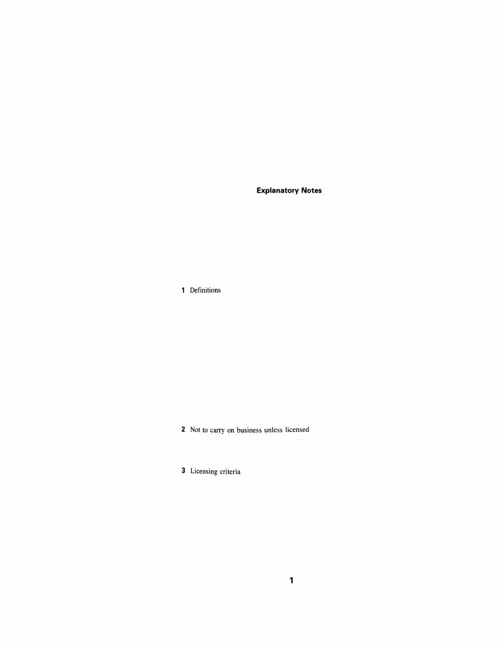**Explanatory Notes** 

1 Definitions

2 Not to carry on business unless licensed

3 Licensing criteria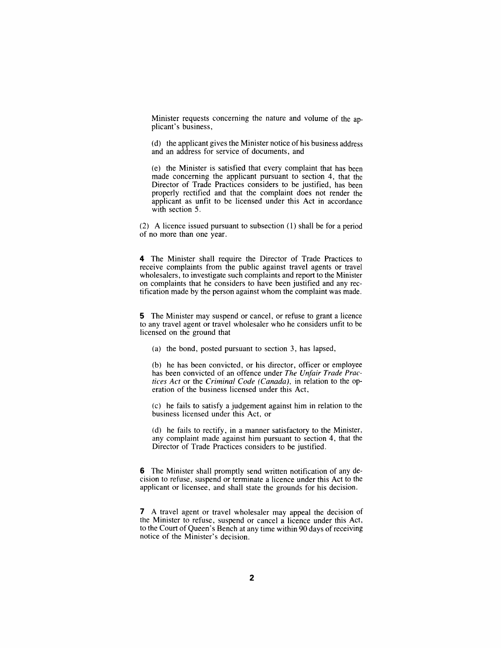Minister requests concerning the nature and volume of the applicant's business,

(d) the applicant gives the Minister notice of his business address and an address for service of documents, and

(e) the Minister is satisfied that every complaint that has been made concerning the applicant pursuant to section 4, that the Director of Trade Practices considers to be justified, has been properly rectified and that the complaint does not render the applicant as unfit to be licensed under this Act in accordance with section 5.

(2) A licence issued pursuant to subsection (1) shall be for a period of no more than one year.

4 The Minister shall require the Director of Trade Practices to receive complaints from the public against travel agents or travel wholesalers, to investigate such complaints and report to the Minister on complaints that he considers to have been justified and any rectification made by the person against whom the complaint was made.

5 The Minister may suspend or cancel, or refuse to grant a licence to any travel agent or travel wholesaler who he considers unfit to be licensed on the ground that

(a) the bond, posted pursuant to section 3, has lapsed,

(b) he has been convicted, or his director, officer or employee has been convicted of an offence under *The Unfair Trade Practices Act* or the *Criminal Code (Canada),* in relation to the operation of the business licensed under this Act,

(c) he fails to satisfy a judgement against him in relation to the business licensed under this Act, or

(d) he fails to rectify, in a manner satisfactory to the Minister, any complaint made against him pursuant to section 4, that the Director of Trade Practices considers to be justified.

6 The Minister shall promptly send written notification of any decision to refuse, suspend or terminate a licence under this Act to the applicant or licensee, and shall state the grounds for his decision.

7 A travel agent or travel wholesaler may appeal the decision of the Minister to refuse, suspend or cancel a licence under this Act, to the Court of Queen's Bench at any time within 90 days of receiving notice of the Minister's decision.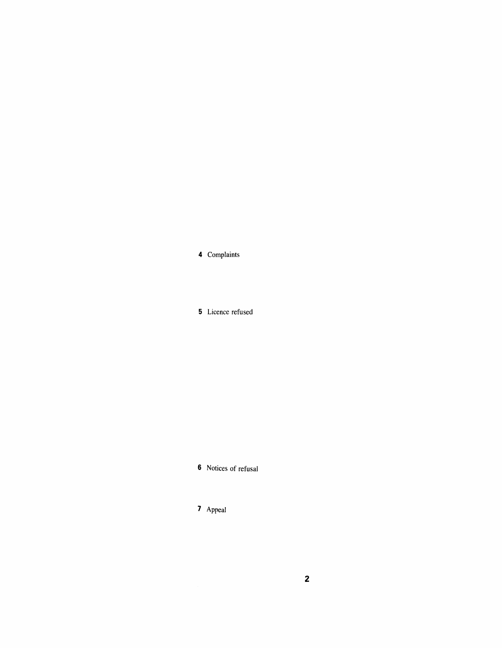4 Complaints

5 Licence refused

6 Notices of refusal

7 Appeal